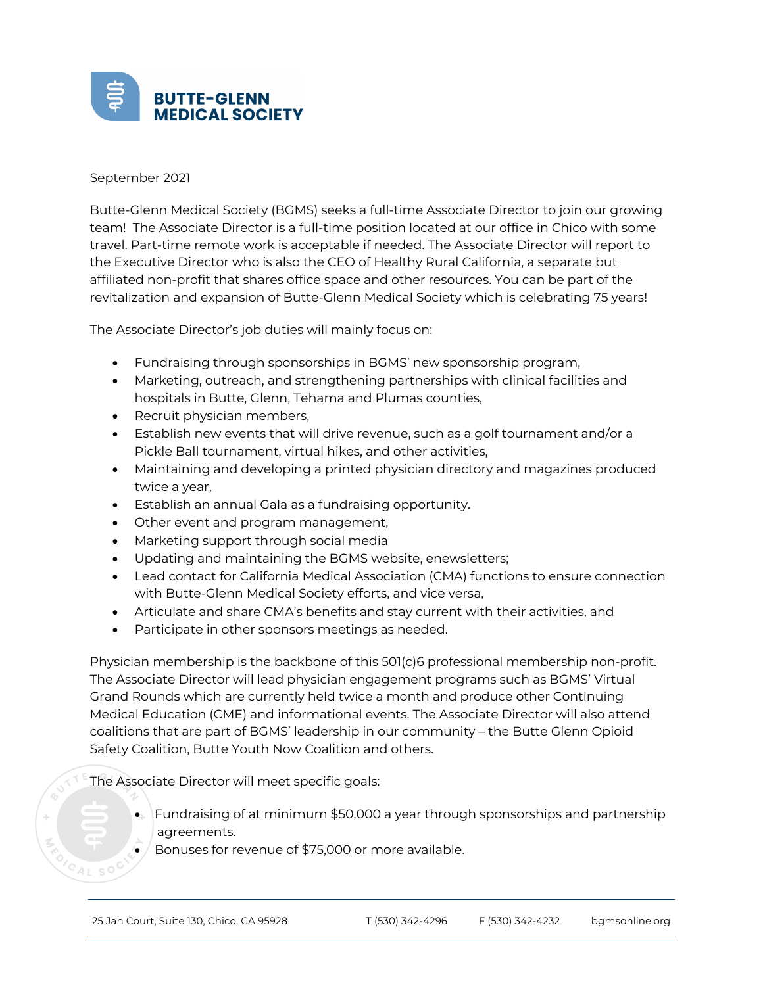

## September 2021

Butte-Glenn Medical Society (BGMS) seeks a full-time Associate Director to join our growing team! The Associate Director is a full-time position located at our office in Chico with some travel. Part-time remote work is acceptable if needed. The Associate Director will report to the Executive Director who is also the CEO of Healthy Rural California, a separate but affiliated non-profit that shares office space and other resources. You can be part of the revitalization and expansion of Butte-Glenn Medical Society which is celebrating 75 years!

The Associate Director's job duties will mainly focus on:

- Fundraising through sponsorships in BGMS' new sponsorship program,
- Marketing, outreach, and strengthening partnerships with clinical facilities and hospitals in Butte, Glenn, Tehama and Plumas counties,
- Recruit physician members,
- Establish new events that will drive revenue, such as a golf tournament and/or a Pickle Ball tournament, virtual hikes, and other activities,
- Maintaining and developing a printed physician directory and magazines produced twice a year,
- Establish an annual Gala as a fundraising opportunity.
- Other event and program management,
- Marketing support through social media
- Updating and maintaining the BGMS website, enewsletters;
- Lead contact for California Medical Association (CMA) functions to ensure connection with Butte-Glenn Medical Society efforts, and vice versa,
- Articulate and share CMA's benefits and stay current with their activities, and
- Participate in other sponsors meetings as needed.

Physician membership is the backbone of this 501(c)6 professional membership non-profit. The Associate Director will lead physician engagement programs such as BGMS' Virtual Grand Rounds which are currently held twice a month and produce other Continuing Medical Education (CME) and informational events. The Associate Director will also attend coalitions that are part of BGMS' leadership in our community – the Butte Glenn Opioid Safety Coalition, Butte Youth Now Coalition and others.

The Associate Director will meet specific goals:

- $\bullet$  Fundraising of at minimum \$50,000 a year through sponsorships and partnership agreements.
- $\bullet$  Bonuses for revenue of \$75,000 or more available.